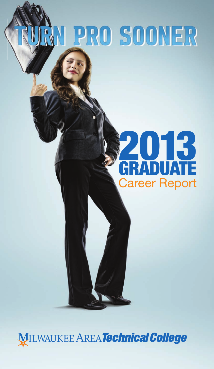# N PRO SOONER

## 2013 GRADUATE **Career Report**

**MILWAUKEE AREA Technical College**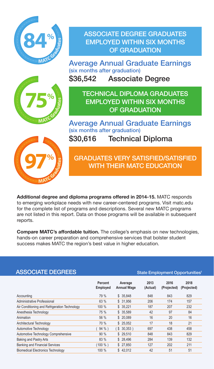

ASSOCIATE DEGREE GRADUATES EmplOYED WIThIn SIX mOnThS OF GRADUATIOn

Average Annual Graduate Earnings (six months after graduation) \$36,542 Associate Degree



TEChnICAl DIplOmA GRADUATES **EMPI OYED WITHIN SIX MONTHS** OF GRADUATIOn

Average Annual Graduate Earnings (six months after graduation) \$30,616 Technical Diploma



GRADUATES VERY SATISFIED/SATISFIED WITH THEIR MATC EDUCATION

**Additional degree and diploma programs offered in 2014-15.** MATC responds to emerging workplace needs with new career-centered programs. Visit matc.edu for the complete list of programs and descriptions. Several new MATC programs are not listed in this report. Data on those programs will be available in subsequent reports.

**Compare MATC's affordable tuition.** The college's emphasis on new technologies, hands-on career preparation and comprehensive services that bolster student success makes MATC the region's best value in higher education.

| <b>ASSOCIATE DEGREES</b>                      | State Employment Opportunities <sup>1</sup> |                               |                  |                     |                     |  |  |
|-----------------------------------------------|---------------------------------------------|-------------------------------|------------------|---------------------|---------------------|--|--|
|                                               | Percent<br>Employed                         | Average<br><b>Annual Wage</b> | 2013<br>(Actual) | 2016<br>(Projected) | 2018<br>(Projected) |  |  |
| Accounting                                    | 79 %                                        | \$35.848                      | 848              | 843                 | 829                 |  |  |
| Administrative Professional                   | 63 %                                        | \$ 31,956                     | 206              | 174                 | 157                 |  |  |
| Air Conditioning and Refrigeration Technology | 100 %                                       | \$35,221                      | 187              | 207                 | 232                 |  |  |
| Anesthesia Technology                         | 75 %                                        | \$35,589                      | 42               | 97                  | 84                  |  |  |
| Animation                                     | 56 %                                        | \$20,089                      | 16               | 20                  | 16                  |  |  |
| Architectural Technology                      | 70 %                                        | \$25.052                      | 17               | 18                  | 21                  |  |  |
| Automotive Technology                         | 94 %)                                       | $$30.353$ )                   | 697              | 438                 | 458                 |  |  |
| Automotive Technology Comprehensive           | 90 %                                        | \$29.510                      | 848              | 843                 | 829                 |  |  |
| Baking and Pastry Arts                        | 83 %                                        | \$ 28,496                     | 284              | 139                 | 132                 |  |  |
| <b>Banking and Financial Services</b>         | (100 %)                                     | \$27.850                      | 127              | 202                 | 211                 |  |  |
| <b>Biomedical Electronics Technology</b>      | 100 %                                       | \$42.012                      | 42               | 51                  | 51                  |  |  |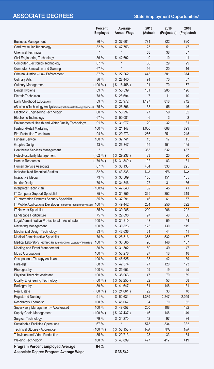### ASSOCIATE DEGREES State Employment Opportunities<sup>1</sup>

|                                                                         | Percent<br>Employed |        | Average<br><b>Annual Wage</b> | 2013<br>(Actual) | 2016<br>(Projected) | 2018<br>(Projected) |
|-------------------------------------------------------------------------|---------------------|--------|-------------------------------|------------------|---------------------|---------------------|
| <b>Business Management</b>                                              | 86 %                |        | \$37,601                      | 781              | 822                 | 820                 |
| Cardiovascular Technology                                               | 82 %                |        | \$47,753                      | 25               | 51                  | 47                  |
| <b>Chemical Technician</b>                                              | $\star$             |        | $\star$                       | 53               | 38                  | 37                  |
| Civil Engineering Technology                                            | 86 %                |        | \$42,692                      | 9                | 10                  | 11                  |
| <b>Computer Electronics Technology</b>                                  | 67 %                |        | $\star$                       | 30               | 29                  | 29                  |
| <b>Computer Simulation and Gaming</b>                                   | 67 %                |        | $\star$                       | 16               | 20                  | 16                  |
| Criminal Justice - Law Enforcement                                      | 87 %                |        | \$27,262                      | 443              | 381                 | 374                 |
| <b>Culinary Arts</b>                                                    | 86 %                | \$     | 28,440                        | 91               | 70                  | 67                  |
| <b>Culinary Management</b>                                              | (100 %)             | $($ \$ | 18,458)                       | 91               | 70                  | 67                  |
| Dental Hygiene                                                          | 89 %                |        | \$55,539                      | 181              | 205                 | 196                 |
| Dietetic Technician                                                     | 78 %                | \$     | 28,694                        | $\overline{7}$   | 11                  | 10                  |
| Early Childhood Education                                               | 89 %                |        | \$25,972                      | 1,127            | 818                 | 742                 |
| eBusiness Technology Analyst (formerly eBusinessTechnology Specialist)  | 75 %                |        | \$ 25,896                     | 58               | 55                  | 46                  |
| <b>Electronic Engineering Technology</b>                                | 60 %                | \$     | 53,297                        | 77               | 59                  | 62                  |
| Electronic Technology                                                   | 67 %                | \$     | 50,081                        | 6                | 3                   | $\overline{2}$      |
| Environmental Health and Water Quality Technology                       | 91 %                | \$     | 31,977                        | 29               | 32                  | 31                  |
| <b>Fashion/Retail Marketing</b>                                         | 100 %               |        | \$21,147                      | 1,000            | 688                 | 699                 |
| Fire Protection Technician                                              | 94 %                |        | \$29,273                      | 256              | 251                 | 245                 |
| <b>Funeral Service</b>                                                  | 100 %               | \$     | 37.741                        | 13               | 17                  | 15                  |
| Graphic Design                                                          | 43 %                |        | \$26,347                      | 155              | 151                 | 165                 |
| <b>Healthcare Services Management</b>                                   | $\star$             |        | $\star$                       | 355              | 532                 | 467                 |
| Hotel/Hospitality Management                                            | 62 %)               | (\$    | 29,237)                       | 33               | 20                  | 20                  |
| Human Resources                                                         | 79 %)               | (S     | 31,849)                       | 102              | 83                  | 81                  |
| Human Service Associate                                                 | 67 %                | \$     | 30,133                        | 484              | 333                 | 295                 |
| Individualized Technical Studies                                        | 82 %                |        | \$43,338                      | N/A              | N/A                 | N/A                 |
| Interactive Media                                                       | 73 %                |        | \$33,509                      | 155              | 151                 | 165                 |
| <b>Interior Design</b>                                                  | 70 %                |        | \$34,846                      | 27               | 31                  | 36                  |
| Interpreter Technician                                                  | $(100\%)$           | \$     | 47,840                        | 32               | 45                  | 41                  |
| IT Computer Support Specialist                                          | 85 %                |        | \$31,355                      | 365              | 352                 | 319                 |
| IT Information Systems Security Specialist                              | 85 %                | \$     | 37,291                        | 46               | 61                  | 57                  |
| IT Mobile Applications Developer (formerly IT Programmer/Analyst)       | 100 %               | \$     | 49,442                        | 234              | 250                 | 222                 |
| <b>IT Network Specialist</b>                                            | 85 %                | \$     | 39,285                        | 200              | 206                 | 202                 |
| Landscape Horticulture                                                  | 75 %                | \$     | 22,898                        | 97               | 40                  | 36                  |
| Legal Administrative Professional - Accelerated                         | 100 %               |        | \$31,210                      | 43               | 59                  | 54                  |
| <b>Marketing Management</b>                                             | 100 %               | \$     | 30,826                        | 125              | 130                 | 119                 |
| Mechanical Design Technology                                            | 83 %                | \$     | 43,636                        | 61               | 44                  | 41                  |
| Medical Administrative Specialist                                       | 76 %                |        | \$28,516                      | 355              | 532                 | 467                 |
| Medical Laboratory Technician (formerly Clinical Laboratory Technician) | 100 %               | \$     | 36,565                        | 96               | 148                 | 137                 |
| Meeting and Event Management                                            | 80 %                | \$     | 31,502                        | 59               | 49                  | 47                  |
| <b>Music Occupations</b>                                                | 100 %               | \$     | 56,278                        | 27               | 18                  | 18                  |
| Occupational Therapy Assistant                                          | 100 %               |        | \$45,625                      | 33               | 42                  | 39                  |
| Paralegal                                                               | 88 %                |        | \$42,374                      | 77               | 120                 | 123                 |
| Photography                                                             | 100 %               |        | \$25,653                      | 59               | 19                  | 25                  |
| <b>Physical Therapist Assistant</b>                                     | 100 %               |        | \$35,063                      | 47               | 79                  | 69                  |
| Quality Engineering Technology                                          | $60 \%$ )<br>(      |        | (S 58, 250)                   | 82               | 53                  | 58                  |
| Radiography                                                             | 89 %                |        | \$41,647                      | 81               | 148                 | 131                 |
| Real Estate                                                             | (60%                | (S)    | 24,061)                       | 92               | 33                  | 40                  |
| <b>Registered Nursing</b>                                               | 91 %                | \$     | 52,631                        | 1,389            | 2,247               | 2,049               |
| <b>Respiratory Therapist</b>                                            | 100 %               |        | \$45,067                      | 34               | 70                  | 65                  |
| Supervisory Management - Accelerated                                    | 100 %               | \$     | 49,057                        | 200              | 188                 | 182                 |
| Supply Chain Management                                                 | (100 %)             |        | $(S\ 37,437)$                 | 146              | 146                 | 149                 |
| Surgical Technology                                                     | 79 %                |        | \$34,270                      | 42               | 97                  | 84                  |
| Sustainable Facilities Operations                                       | 67 %                |        | $^\star$                      | 573              | 334                 | 382                 |
| Technical Studies - Apprentice                                          | $(100\% )$          |        | (S 56, 158)                   | N/A              | N/A                 | N/A                 |
| Television and Video Production                                         | 85 %                |        | \$29,713                      | 28               | 33                  | 34                  |
| <b>Welding Technology</b>                                               | 100 %               |        | \$46,899                      | 477              | 417                 | 419                 |
|                                                                         |                     |        |                               |                  |                     |                     |
| <b>Program Percent Employed Average</b>                                 | 84%                 |        |                               |                  |                     |                     |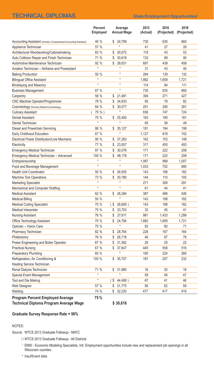### TECHNICAL DIPLOMAS State Employment Opportunities<sup>1</sup>

|                                                                   | Percent<br>Employed |              | Average<br><b>Annual Wage</b> | 2013<br>(Actual) | 2016<br>(Projected) | 2018<br>(Projected) |
|-------------------------------------------------------------------|---------------------|--------------|-------------------------------|------------------|---------------------|---------------------|
| Accounting Assistant (formerly Computerized Accounting Assistant) | 40 %                |              | \$ 24,799                     | 730              | 635                 | 660                 |
| Appliance Technician                                              | 57 %                |              |                               | 41               | 27                  | 28                  |
| Architectural Woodworking/Cabinetmaking                           | 83 %                | \$           | 30.072                        | 119              | 43                  | 53                  |
| Auto Collision Repair and Finish Technician                       | 71 %                |              | \$30,618                      | 132              | 89                  | 90                  |
| Automotive Maintenance Technician                                 | 92 %                |              | \$28,631                      | 697              | 438                 | 458                 |
| Aviation Technician - Airframe and Powerplant                     | $\star$             |              |                               | 31               | 43                  | 40                  |
| <b>Baking Production</b>                                          | 50 %                |              | $\star$                       | 284              | 139                 | 132                 |
| <b>Bilingual Office Assistant</b>                                 | $\star$             |              | $\star$                       | 1,882            | 1,659               | 1,721               |
| <b>Bricklaying and Masonry</b>                                    | $\star$             |              | $\star$                       | 114              | 84                  | 111                 |
| <b>Business Management</b>                                        | 67 %                |              | $^\star$                      | 730              | 635                 | 660                 |
| Carpentry                                                         | 56 %                |              | \$21,481                      | 394              | 271                 | 427                 |
| CNC Machine Operator/Programmer                                   | 78 %                |              | \$34.833                      | 85               | 79                  | 82                  |
| Cosmetology (formerly Barber/Cosmetology)                         | 64 %                | \$           | 30,077                        | 251              | 295                 | 281                 |
| <b>Culinary Assistant</b>                                         | 75 %)               |              | $\star$                       | 836              | 747                 | 724                 |
| <b>Dental Assistant</b>                                           | 70 %                | \$           | 25.400                        | 163              | 190                 | 181                 |
| Dental Technician                                                 | $\star$             |              | $^\star$                      | 65               | 58                  | 49                  |
| Diesel and Powertrain Servicing                                   | 86 %                | S            | 35.127                        | 181              | 194                 | 199                 |
| Early Childhood Education                                         | 67 %                |              |                               | 1,127            | 818                 | 742                 |
| <b>Electrical Power Distribution/Line Mechanic</b>                | 90 %                | \$           | 37,283                        | 162              | 153                 | 148                 |
| Electricity                                                       | 77 %                | \$           | 23.507                        | 317              | 455                 | 493                 |
| <b>Emergency Medical Technician</b>                               | 87 %                | \$           | 30,078                        | 171              | 222                 | 208                 |
| Emergency Medical Technician - Advanced                           | 100 %               | \$           | 48.178                        | 171              | 222                 | 208                 |
| Entrepreneurship                                                  | $\star$             |              |                               | 1,087            | 999                 | 1,007               |
| Food and Beverage Management                                      | $\star$             |              | $^\star$                      | 1.033            | 702                 | 685                 |
| <b>Health Unit Coordinator</b>                                    | 50 %                |              | \$ 26,555                     | 143              | 198                 | 182                 |
| <b>Machine Tool Operations</b>                                    | 73 %                | \$           | 30,780                        | 144              | 110                 | 105                 |
| <b>Marketing Specialist</b>                                       | $\star$             |              | $^\star$                      | 271              | 308                 | 291                 |
| Mechanical and Computer Drafting                                  | $\star$             |              | $^\star$                      | 61               | 44                  | 41                  |
| <b>Medical Assistant</b>                                          | 62 %                | $\mathbb{S}$ | 26.284                        | 387              | 488                 | 426                 |
| <b>Medical Billing</b>                                            | 50 %                |              |                               | 143              | 198                 | 182                 |
| <b>Medical Coding Specialist</b>                                  | 75 %                | (\$          | 28,609)                       | 143              | 198                 | 182                 |
| Medical Interpreter                                               | 75 %                | \$           | 33.703                        | 32               | 45                  | 41                  |
| Nursing Assistant                                                 | 76 %                | \$           | 27,611                        | 981              | 1,433               | 1,299               |
| Office Technology Assistant                                       | 75 %                | \$           | 24.794                        | 1.882            | 1,659               | 1,721               |
| Optician - Vision Care                                            | 75 %                |              | $\star$                       | 93               | 80                  | 71                  |
| Pharmacy Technician                                               | 82 %                | \$           | 28.764                        | 228              | 167                 | 164                 |
| Phlebotomy                                                        | 76 %                | \$           | 26,718                        | 46               | 87                  | 78                  |
| Power Engineering and Boiler Operator                             | 67 %                | \$           | 31,362                        | 29               | 25                  | 22                  |
| <b>Practical Nursing</b>                                          | 67 %                |              | \$37,647                      | 445              | 558                 | 516                 |
| Preparatory Plumbing                                              | 60 %                |              | $^\star$                      | 190              | 224                 | 260                 |
| Refrigeration, Air Conditioning &                                 | 100 %               |              | \$35,707                      | 187              | 207                 | 232                 |
| Heating Service Technician                                        |                     |              |                               |                  |                     |                     |
| Renal Dialysis Technician                                         | 71 %                | \$           | 31,980                        | 16               | 20                  | 18                  |
| Special Event Management                                          |                     |              |                               | 59               | 49                  | 47                  |
| Tool and Die Making                                               | $\star$             | $($ \$       | 44,489)                       | 67               | 41                  | 46                  |
| <b>Web Designer</b>                                               | 57 %                |              | \$31,775                      | 56               | 62                  | 59                  |
| Welding                                                           | 74 %                | \$           | 32,230                        | 477              | 417                 | 419                 |
| <b>Program Percent Employed Average</b>                           | 75%                 |              |                               |                  |                     |                     |

**Technical Diploma Program Average Wage \$ 30,616**

#### **Graduate Survey Response Rate = 56%**

#### NOTES:

Source: WTCS 2013 Graduate Followup - MATC

- ( ) WTCS 2013 Graduate Followup All Districts
- <sup>1</sup> EMSI Economic Modeling Specialists, Intl. Employment opportunities include new and replacement job openings in all Wisconsin counties.

\* Insufficient data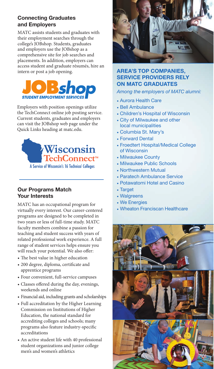#### **Connecting Graduates and Employers**

MATC assists students and graduates with their employment searches through the college's JOBshop. Students, graduates and employers use the JOBshop as a comprehensive site for job searches and placements. In addition, employers can access student and graduate résumés, hire an intern or post a job opening.



Employers with position openings utilize the TechConnect online job posting service. Current students, graduates and employers can visit the JOBshop web page under the Quick Links heading at matc.edu.



#### **Our Programs Match Your Interests**

MATC has an occupational program for virtually every interest. Our career-centered programs are designed to be completed in two years or less of full-time study. MATC faculty members combine a passion for teaching and student success with years of related professional work experience. A full range of student services helps ensure you will reach your potential. We also offer:

- The best value in higher education
- • 200 degree, diploma, certificate and apprentice programs
- • Four convenient, full-service campuses
- • Classes offered during the day, evenings, weekends and online
- • Financial aid, including grants and scholarships
- • Full accreditation by the Higher Learning Commission on Institutions of Higher Education, the national standard for accrediting colleges and schools; many programs also feature industry-specific accreditations
- • An active student life with 40 professional student organizations and junior college men's and women's athletics



#### **AREA'S TOP COMPANIES. SERVICE PROVIDERS RELY ON MATC GRADUATES**

#### *Among the employers of MATC alumni:*

- • Aurora Health Care
- Bell Ambulance
- • Children's Hospital of Wisconsin
- • City of Milwaukee and other local municipalities
- • Columbia St. Mary's
- Forward Dental
- • Froedtert Hospital/Medical College of Wisconsin
- • Milwaukee County
- • Milwaukee Public Schools
- • Northwestern Mutual
- • Paratech Ambulance Service
- Potawatomi Hotel and Casino
- Target
- • Walgreens
- • We Energies
- Wheaton Franciscan Healthcare